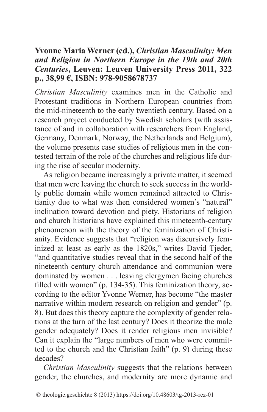## **Yvonne Maria Werner (ed.),** *Christian Masculinity: Men and Religion in Northern Europe in the 19th and 20th Centuries***, Leuven: Leuven University Press 2011, 322 p., 38,99 €, ISBN: 978-9058678737**

*Christian Masculinity* examines men in the Catholic and Protestant traditions in Northern European countries from the mid-nineteenth to the early twentieth century. Based on a research project conducted by Swedish scholars (with assistance of and in collaboration with researchers from England, Germany, Denmark, Norway, the Netherlands and Belgium), the volume presents case studies of religious men in the contested terrain of the role of the churches and religious life during the rise of secular modernity.

As religion became increasingly a private matter, it seemed that men were leaving the church to seek success in the worldly public domain while women remained attracted to Christianity due to what was then considered women's "natural" inclination toward devotion and piety. Historians of religion and church historians have explained this nineteenth-century phenomenon with the theory of the feminization of Christianity. Evidence suggests that "religion was discursively feminized at least as early as the 1820s," writes David Tjeder, "and quantitative studies reveal that in the second half of the nineteenth century church attendance and communion were dominated by women . . . leaving clergymen facing churches filled with women" (p. 134-35). This feminization theory, according to the editor Yvonne Werner, has become "the master narrative within modern research on religion and gender" (p. 8). But does this theory capture the complexity of gender relations at the turn of the last century? Does it theorize the male gender adequately? Does it render religious men invisible? Can it explain the "large numbers of men who were committed to the church and the Christian faith" (p. 9) during these decades?

*Christian Masculinity* suggests that the relations between gender, the churches, and modernity are more dynamic and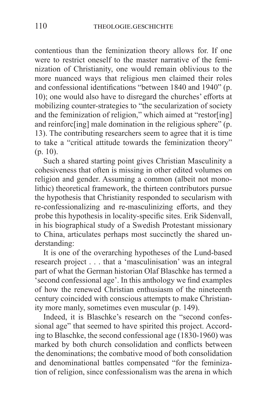contentious than the feminization theory allows for. If one were to restrict oneself to the master narrative of the feminization of Christianity, one would remain oblivious to the more nuanced ways that religious men claimed their roles and confessional identifications "between 1840 and 1940" (p. 10); one would also have to disregard the churches' efforts at mobilizing counter-strategies to "the secularization of society and the feminization of religion," which aimed at "restor[ing] and reinforc<sup>[ing]</sup> male domination in the religious sphere" (p. 13). The contributing researchers seem to agree that it is time to take a "critical attitude towards the feminization theory" (p. 10).

Such a shared starting point gives Christian Masculinity a cohesiveness that often is missing in other edited volumes on religion and gender. Assuming a common (albeit not monolithic) theoretical framework, the thirteen contributors pursue the hypothesis that Christianity responded to secularism with re-confessionalizing and re-masculinizing efforts, and they probe this hypothesis in locality-specific sites. Erik Sidenvall, in his biographical study of a Swedish Protestant missionary to China, articulates perhaps most succinctly the shared understanding:

It is one of the overarching hypotheses of the Lund-based research project . . . that a 'masculinisation' was an integral part of what the German historian Olaf Blaschke has termed a 'second confessional age'. In this anthology we find examples of how the renewed Christian enthusiasm of the nineteenth century coincided with conscious attempts to make Christianity more manly, sometimes even muscular (p. 149).

Indeed, it is Blaschke's research on the "second confessional age" that seemed to have spirited this project. According to Blaschke, the second confessional age (1830-1960) was marked by both church consolidation and conflicts between the denominations; the combative mood of both consolidation and denominational battles compensated "for the feminization of religion, since confessionalism was the arena in which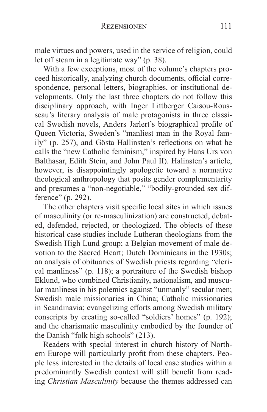male virtues and powers, used in the service of religion, could let off steam in a legitimate way" (p. 38).

With a few exceptions, most of the volume's chapters proceed historically, analyzing church documents, official correspondence, personal letters, biographies, or institutional developments. Only the last three chapters do not follow this disciplinary approach, with Inger Littberger Caisou-Rousseau's literary analysis of male protagonists in three classical Swedish novels, Anders Jarlert's biographical profile of Queen Victoria, Sweden's "manliest man in the Royal family" (p. 257), and Gösta Hallinsten's reflections on what he calls the "new Catholic feminism," inspired by Hans Urs von Balthasar, Edith Stein, and John Paul II). Halinsten's article, however, is disappointingly apologetic toward a normative theological anthropology that posits gender complementarity and presumes a "non-negotiable," "bodily-grounded sex difference" (p. 292).

The other chapters visit specific local sites in which issues of masculinity (or re-masculinization) are constructed, debated, defended, rejected, or theologized. The objects of these historical case studies include Lutheran theologians from the Swedish High Lund group; a Belgian movement of male devotion to the Sacred Heart; Dutch Dominicans in the 1930s; an analysis of obituaries of Swedish priests regarding "clerical manliness" (p. 118); a portraiture of the Swedish bishop Eklund, who combined Christianity, nationalism, and muscular manliness in his polemics against "unmanly" secular men; Swedish male missionaries in China; Catholic missionaries in Scandinavia; evangelizing efforts among Swedish military conscripts by creating so-called "soldiers' homes" (p. 192); and the charismatic masculinity embodied by the founder of the Danish "folk high schools" (213).

Readers with special interest in church history of Northern Europe will particularly profit from these chapters. People less interested in the details of local case studies within a predominantly Swedish context will still benefit from reading *Christian Masculinity* because the themes addressed can